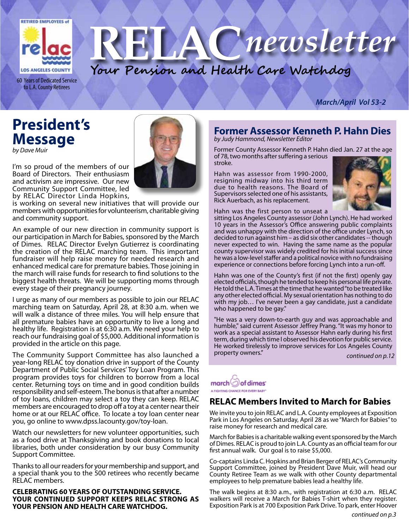

60 Years of Dedicated Service to L.A. County Retirees

#### *March/April Vol 53-2*

## **President's Message**

*by Dave Muir*

I'm so proud of the members of our Board of Directors. Their enthusiasm and activism are impressive. Our new Community Support Committee, led by RELAC Director Linda Hopkins,

is working on several new initiatives that will provide our members with opportunities for volunteerism, charitable giving and community support.

An example of our new direction in community support is our participation in March for Babies, sponsored by the March of Dimes. RELAC Director Evelyn Gutierrez is coordinating the creation of the RELAC marching team. This important fundraiser will help raise money for needed research and enhanced medical care for premature babies. Those joining in the march will raise funds for research to find solutions to the biggest health threats. We will be supporting moms through every stage of their pregnancy journey.

I urge as many of our members as possible to join our RELAC marching team on Saturday, April 28, at 8:30 a.m. when we will walk a distance of three miles. You will help ensure that all premature babies have an opportunity to live a long and healthy life. Registration is at 6:30 a.m. We need your help to reach our fundraising goal of \$5,000. Additional information is provided in the article on this page.

The Community Support Committee has also launched a year-long RELAC toy donation drive in support of the County Department of Public Social Services' Toy Loan Program. This program provides toys for children to borrow from a local center. Returning toys on time and in good condition builds responsibility and self-esteem. The bonus is that after a number of toy loans, children may select a toy they can keep. RELAC members are encouraged to drop off a toy at a center near their home or at our RELAC office. To locate a toy loan center near you, go online to www.dpss.lacounty.gov/toy-loan.

Watch our newsletters for new volunteer opportunities, such as a food drive at Thanksgiving and book donations to local libraries, both under consideration by our busy Community Support Committee.

Thanks to all our readers for your membership and support, and a special thank you to the 500 retirees who recently became RELAC members.

**CELEBRATING 60 YEARS OF OUTSTANDING SERVICE. YOUR CONTINUED SUPPORT KEEPS RELAC STRONG AS YOUR PENSION AND HEALTH CARE WATCHDOG.**



**Your Pension and Health Care Watchdog**

#### **Former Assessor Kenneth P. Hahn Dies** *by Judy Hammond, Newsletter Editor*

Cnewsletter

Former County Assessor Kenneth P. Hahn died Jan. 27 at the age of 78, two months after suffering a serious stroke.

Hahn was assessor from 1990-2000, resigning midway into his third term due to health reasons. The Board of Supervisors selected one of his assistants, Rick Auerbach, as his replacement.



Hahn was the first person to unseat a

sitting Los Angeles County assessor (John Lynch). He had worked 10 years in the Assessor's Office answering public complaints and was unhappy with the direction of the office under Lynch, so decided to run against him – as did six other candidates -- though never expected to win. Having the same name as the popular county supervisor was widely credited for his initial success since he was a low-level staffer and a political novice with no fundraising experience or connections before forcing Lynch into a run-off.

Hahn was one of the County's first (if not the first) openly gay elected officials, though he tended to keep his personal life private. He told the L.A. Times at the time that he wanted "to be treated like any other elected official. My sexual orientation has nothing to do with my job... I've never been a gay candidate, just a candidate who happened to be gay."

"He was a very down-to-earth guy and was approachable and humble," said current Assessor Jeffrey Prang. "It was my honor to work as a special assistant to Assessor Hahn early during his first term, during which time I observed his devotion for public service. He worked tirelessly to improve services for Los Angeles County property owners." *continued on p.12*



### **RELAC Members Invited to March for Babies**

We invite you to join RELAC and L.A. County employees at Exposition Park in Los Angeles on Saturday, April 28 as we "March for Babies" to raise money for research and medical care.

March for Babies is a charitable walking event sponsored by the March of Dimes. RELAC is proud to join L.A. County as an official team for our first annual walk. Our goal is to raise \$5,000.

Co-captains Linda C. Hopkins and Brian Berger of RELAC's Community Support Committee, joined by President Dave Muir, will head our County Retiree Team as we walk with other County departmental employees to help premature babies lead a healthy life.

The walk begins at 8:30 a.m., with registration at 6:30 a.m. RELAC walkers will receive a March for Babies T-shirt when they register. Exposition Park is at 700 Exposition Park Drive. To park, enter Hoover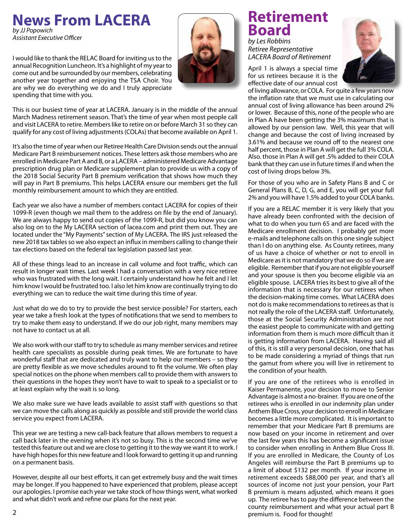## **News From LACERA**

*by JJ Popowich Assistant Executive Officer*

I would like to thank the RELAC Board for inviting us to the annual Recognition Luncheon. It's a highlight of my year to come out and be surrounded by our members, celebrating another year together and enjoying the TSA Choir. You are why we do everything we do and I truly appreciate spending that time with you.



This is our busiest time of year at LACERA. January is in the middle of the annual March Madness retirement season. That's the time of year when most people call and visit LACERA to retire. Members like to retire on or before March 31 so they can qualify for any cost of living adjustments (COLAs) that become available on April 1.

It's also the time of year when our Retiree Health Care Division sends out the annual Medicare Part B reimbursement notices. These letters ask those members who are enrolled in Medicare Part A and B, or a LACERA – administered Medicare Advantage prescription drug plan or Medicare supplement plan to provide us with a copy of the 2018 Social Security Part B premium verification that shows how much they will pay in Part B premiums. This helps LACERA ensure our members get the full monthly reimbursement amount to which they are entitled.

Each year we also have a number of members contact LACERA for copies of their 1099-R (even though we mail them to the address on file by the end of January). We are always happy to send out copies of the 1099-R, but did you know you can also log on to the My LACERA section of lacea.com and print them out. They are located under the "My Payments" section of My LACERA. The IRS just released the new 2018 tax tables so we also expect an influx in members calling to change their tax elections based on the federal tax legislation passed last year.

All of these things lead to an increase in call volume and foot traffic, which can result in longer wait times. Last week I had a conversation with a very nice retiree who was frustrated with the long wait. I certainly understand how he felt and I let him know I would be frustrated too. I also let him know are continually trying to do everything we can to reduce the wait time during this time of year.

Just what do we do to try to provide the best service possible? For starters, each year we take a fresh look at the types of notifications that we send to members to try to make them easy to understand. If we do our job right, many members may not have to contact us at all.

We also work with our staff to try to schedule as many member services and retiree health care specialists as possible during peak times. We are fortunate to have wonderful staff that are dedicated and truly want to help our members – so they are pretty flexible as we move schedules around to fit the volume. We often play special notices on the phone when members call to provide them with answers to their questions in the hopes they won't have to wait to speak to a specialist or to at least explain why the wait is so long.

We also make sure we have leads available to assist staff with questions so that we can move the calls along as quickly as possible and still provide the world class service you expect from LACERA.

This year we are testing a new call-back feature that allows members to request a call back later in the evening when it's not so busy. This is the second time we've tested this feature out and we are close to getting it to the way we want it to work. I have high hopes for this new feature and I look forward to getting it up and running on a permanent basis.

However, despite all our best efforts, it can get extremely busy and the wait times may be longer. If you happened to have experienced that problem, please accept our apologies. I promise each year we take stock of how things went, what worked and what didn't work and refine our plans for the next year.

## **Retirement Board** *by Les Robbins*

*Retiree Representative LACERA Board of Retirement*

April 1 is always a special time for us retirees because it is the effective date of our annual cost



of living allowance, or COLA. For quite a few years now the inflation rate that we must use in calculating our annual cost of living allowance has been around 2% or lower. Because of this, none of the people who are in Plan A have been getting the 3% maximum that is allowed by our pension law. Well, this year that will change and because the cost of living increased by 3.61% and because we round off to the nearest one half percent, those in Plan A will get the full 3% COLA. Also. those in Plan A will get .5% added to their COLA bank that they can use in future times if and when the cost of living drops below 3%.

For those of you who are in Safety Plans B and C or General Plans B, C, D, G, and E, you will get your full 2% and you will have 1.5% added to your COLA banks.

If you are a RELAC member it is very likely that you have already been confronted with the decision of what to do when you turn 65 and are faced with the Medicare enrollment decision. I probably get more e-mails and telephone calls on this one single subject than I do on anything else. As County retirees, many of us have a choice of whether or not to enroll in Medicare as it is not mandatory that we do so if we are eligible. Remember that if you are not eligible yourself and your spouse is then you become eligible via an eligible spouse. LACERA tries its best to give all of the information that is necessary for our retirees when the decision-making time comes. What LACERA does not do is make recommendations to retirees as that is not really the role of the LACERA staff. Unfortunately, those at the Social Security Administration are not the easiest people to communicate with and getting information from them is much more difficult than it is getting information from LACERA. Having said all of this, it is still a very personal decision, one that has to be made considering a myriad of things that run the gamut from where you will live in retirement to the condition of your health.

If you are one of the retirees who is enrolled in Kaiser Permanente, your decision to move to Senior Advantage is almost a no-brainer. If you are one of the retirees who is enrolled in our indemnity plan under Anthem Blue Cross, your decision to enroll in Medicare becomes a little more complicated. It is important to remember that your Medicare Part B premiums are now based on your income in retirement and over the last few years this has become a significant issue to consider when enrolling in Anthem Blue Cross III. If you are enrolled in Medicare, the County of Los Angeles will reimburse the Part B premiums up to a limit of about \$132 per month. If your income in retirement exceeds \$88,000 per year, and that's all sources of income not just your pension, your Part B premium is means adjusted, which means it goes up. The retiree has to pay the difference between the county reimbursement and what your actual part B premium is. Food for thought!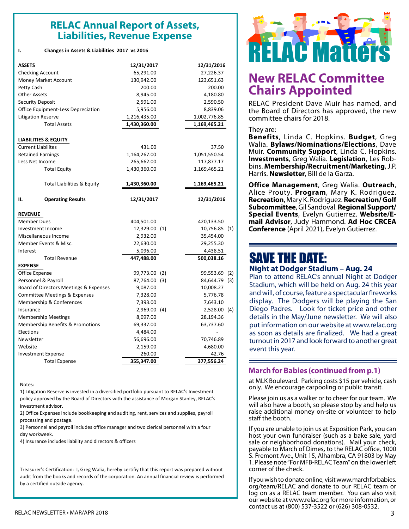### **RELAC RELAC Annual Report of Assets, Liabilities, Revenue Expense**

| <b>ASSETS</b>                          |                                 | 12/31/2017    |     | 12/31/2016     |     |
|----------------------------------------|---------------------------------|---------------|-----|----------------|-----|
| <b>Checking Account</b>                |                                 | 65,291.00     |     | 27,226.37      |     |
| Money Market Account                   |                                 | 130,942.00    |     | 123,651.63     |     |
| Petty Cash                             |                                 | 200.00        |     | 200.00         |     |
| <b>Other Assets</b>                    |                                 | 8,945.00      |     | 4,180.80       |     |
| <b>Security Deposit</b>                |                                 | 2,591.00      |     | 2,590.50       |     |
| Office Equipment-Less Depreciation     |                                 | 5,956.00      |     | 8,839.06       |     |
| <b>Litigation Reserve</b>              |                                 | 1,216,435.00  |     | 1,002,776.85   |     |
| <b>Total Assets</b>                    |                                 | 1,430,360.00  |     | 1,169,465.21   |     |
|                                        | <b>LIABILITIES &amp; EQUITY</b> |               |     |                |     |
| <b>Current Liabilites</b>              |                                 | 431.00        |     | 37.50          |     |
| <b>Retained Earnings</b>               |                                 | 1,164,267.00  |     | 1,051,550.54   |     |
| Less Net Income                        |                                 | 265,662.00    |     | 117,877.17     |     |
|                                        | <b>Total Equity</b>             | 1,430,360.00  |     | 1,169,465.21   |     |
|                                        | Total Liabilities & Equity      | 1,430,360.00  |     | 1,169,465.21   |     |
| н.                                     | <b>Operating Results</b>        | 12/31/2017    |     | 12/31/2016     |     |
| <b>REVENUE</b>                         |                                 |               |     |                |     |
| <b>Member Dues</b>                     |                                 | 404,501.00    |     | 420,133.50     |     |
| Investment Income                      |                                 | 12,329.00 (1) |     | 10,756.85 (1)  |     |
| Miscellaneous Income                   |                                 | 2,932.00      |     | 35,454.00      |     |
| Member Events & Misc.                  |                                 | 22,630.00     |     | 29,255.30      |     |
| Interest                               |                                 | 5,096.00      |     | 4,438.51       |     |
|                                        | <b>Total Revenue</b>            | 447,488.00    |     | 500,038.16     |     |
| <b>EXPENSE</b>                         |                                 |               |     |                |     |
| Office Expense                         |                                 | 99,773.00     | (2) | 99,553.69      | (2) |
| Personnel & Payroll                    |                                 | 87,764.00 (3) |     | 84,644.79 (3)  |     |
| Board of Directors Meetings & Expenses |                                 | 9,087.00      |     | 10,008.27      |     |
| Committee Meetings & Expenses          |                                 | 7,328.00      |     | 5,776.78       |     |
| Membership & Conferences               |                                 | 7,393.00      |     | 7,643.10       |     |
| Insurance                              |                                 | 2,969.00 (4)  |     | $2,528.00$ (4) |     |
| <b>Membership Meetings</b>             |                                 | 8,097.00      |     | 28,194.36      |     |
| Membership Benefits & Promotions       |                                 | 69,337.00     |     | 63,737.60      |     |
| Elections                              |                                 | 4,484.00      |     |                |     |
| Newsletter                             |                                 | 56,696.00     |     | 70,746.89      |     |
| Website                                |                                 | 2,159.00      |     | 4,680.00       |     |
| <b>Investment Expense</b>              |                                 | 260.00        |     | 42.76          |     |
| <b>Total Expense</b>                   |                                 | 355,347.00    |     | 377,556.24     |     |

#### Notes:

1) Litigation Reserve is invested in a diversified portfolio pursuant to RELAC's Investment policy approved by the Board of Directors with the assistance of Morgan Stanley, RELAC's investment advisor.

2) Office Expenses include bookkeeping and auditing, rent, services and supplies, payroll processing and postage.

3) Personnel and payroll includes office manager and two clerical personnel with a four day workweek.

4) Insurance includes liability and directors & officers

Treasurer's Certification: I, Greg Walia, hereby certifiy that this report was prepared without audit from the books and records of the corporation. An annual financial review is performed by a certified outside agency.



### **New RELAC Committee Chairs Appointed**

RELAC President Dave Muir has named, and the Board of Directors has approved, the new committee chairs for 2018.

#### They are:

**Benefits**, Linda C. Hopkins. **Budget**, Greg Walia. **Bylaws/Nominations/Elections**, Dave Muir. **Community Support**, Linda C. Hopkins. **Investments**, Greg Walia. **Legislation**, Les Rob- bins. **Membership/Recruitment/Marketing**, J.P. Harris. **Newsletter**, Bill de la Garza.

**Office Management**, Greg Walia. **Outreach**, Alice Prouty. **Program**, Mary K. Rodriguez. **Recreation**, Mary K. Rodriguez. **Recreation/ Golf Subcommittee**, Gil Sandoval. **Regional Support/ Special Events**, Evelyn Gutierrez. **Website/Email Advisor**, Judy Hammond. **Ad Hoc CRCEA Conference** (April 2021), Evelyn Gutierrez.

### SAVE THE DATE: **Night at Dodger Stadium – Aug. 24**

Plan to attend RELAC's annual Night at Dodger Stadium, which will be held on Aug. 24 this year and will, of course, feature a spectacular fireworks display. The Dodgers will be playing the San Diego Padres. Look for ticket price and other details in the May/June newsletter. We will also put information on our website at www.relac.org as soon as details are finalized. We had a great turnout in 2017 and look forward to another great event this year.

#### **March for Babies (continued from p.1)**

at MLK Boulevard. Parking costs \$15 per vehicle, cash only. We encourage carpooling or public transit.

Please join us as a walker or to cheer for our team. We will also have a booth, so please stop by and help us raise additional money on-site or volunteer to help staff the booth.

If you are unable to join us at Exposition Park, you can host your own fundraiser (such as a bake sale, yard sale or neighborhood donations). Mail your check, payable to March of Dimes**,** to the RELAC office, 1000 S. Fremont Ave., Unit 15, Alhambra, CA 91803 by May 1. Please note "For MFB-RELAC Team" on the lower left corner of the check.

If you wish to donate online, visit www.marchforbabies. org/team/RELAC and donate to our RELAC team or log on as a RELAC team member. You can also visit our website at www.relac.org for more information, or contact us at (800) 537-3522 or (626) 308-0532.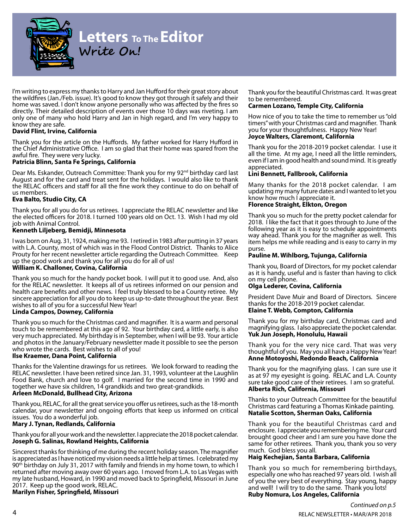

### **Letters To The Editor Write On!**

I'm writing to express my thanks to Harry and Jan Hufford for their great story about the wildfires (Jan./Feb. issue). It's good to know they got through it safely and their home was saved. I don't know anyone personally who was affected by the fires so directly. Their detailed description of events over those 10 days was riveting. I am only one of many who hold Harry and Jan in high regard, and I'm very happy to know they are safe.

#### **David Flint, Irvine, California**

Thank you for the article on the Huffords. My father worked for Harry Hufford in the Chief Administrative Office. I am so glad that their home was spared from the awful fire. They were very lucky.

#### **Patricia Blinn, Santa Fe Springs, California**

Dear Ms. Eskander, Outreach Committee: Thank you for my 92<sup>nd</sup> birthday card last August and for the card and treat sent for the holidays. I would also like to thank the RELAC officers and staff for all the fine work they continue to do on behalf of us members.

#### **Eva Balto, Studio City, CA**

Thank you for all you do for us retirees. I appreciate the RELAC newsletter and like the elected officers for 2018. I turned 100 years old on Oct. 13. Wish I had my old job with Animal Control.

#### **Kenneth Liljeberg, Bemidji, Minnesota**

I was born on Aug. 31, 1924, making me 93. I retired in 1983 after putting in 37 years with L.A. County, most of which was in the Flood Control District. Thanks to Alice Prouty for her recent newsletter article regarding the Outreach Committee*.* Keep up the good work and thank you for all you do for all of us!

#### **William K. Challoner, Covina, California**

Thank you so much for the handy pocket book. I will put it to good use. And, also for the RELAC newsletter. It keeps all of us retirees informed on our pension and health care benefits and other news. I feel truly blessed to be a County retiree. My sincere appreciation for all you do to keep us up-to-date throughout the year. Best wishes to all of you for a successful New Year!

#### **Linda Campos, Downey, California**

Thank you so much for the Christmas card and magnifier. It is a warm and personal touch to be remembered at this age of 92. Your birthday card, a little early, is also very much appreciated. My birthday is in September, when I will be 93. Your article and photos in the January/February newsletter made it possible to see the person who wrote the cards. Best wishes to all of you!

#### **Ilse Kraemer, Dana Point, California**

Thanks for the Valentine drawings for us retirees. We look forward to reading the RELAC newsletter. I have been retired since Jan. 31, 1993, volunteer at the Laughlin Food Bank, church and love to golf. I married for the second time in 1990 and together we have six children, 14 grandkids and two great-grandkids.

#### **Arleen McDonald, Bullhead City, Arizona**

Thank you, RELAC, for all the great service you offer us retirees, such as the 18-month calendar, your newsletter and ongoing efforts that keep us informed on critical issues. You do a wonderful job.

#### **Mary J. Tynan, Redlands, California**

Thank you for all your work and the newsletter. I appreciate the 2018 pocket calendar. **Joseph G. Salinas, Rowland Heights, California**

Sincerest thanks for thinking of me during the recent holiday season. The magnifier is appreciated as I have noticed my vision needs a little help at times. I celebrated my 90<sup>th</sup> birthday on July 31, 2017 with family and friends in my home town, to which I returned after moving away over 60 years ago. I moved from L.A. to Las Vegas with my late husband, Howard, in 1990 and moved back to Springfield, Missouri in June 2017. Keep up the good work, RELAC.

**Marilyn Fisher, Springfield, Missouri**

Thank you for the beautiful Christmas card. It was great to be remembered.

#### **Carmen Lozano, Temple City, California**

How nice of you to take the time to remember us "old timers" with your Christmas card and magnifier. Thank you for your thoughtfulness. Happy New Year! **Joyce Walters, Claremont, California**

Thank you for the 2018-2019 pocket calendar. I use it all the time. At my age, I need all the little reminders, even if I am in good health and sound mind. It is greatly appreciated.

#### **Lini Bennett, Fallbrook, California**

Many thanks for the 2018 pocket calendar. I am updating my many future dates and I wanted to let you know how much I appreciate it.

#### **Florence Straight, Elkton, Oregon**

Thank you so much for the pretty pocket calendar for 2018. I like the fact that it goes through to June of the following year as it is easy to schedule appointments way ahead. Thank you for the magnifier as well. This item helps me while reading and is easy to carry in my purse.

#### **Pauline M. Wihlborg, Tujunga, California**

Thank you, Board of Directors, for my pocket calendar as it is handy, useful and is faster than having to click on my cell phone.

#### **Olga Lederer, Covina, California**

President Dave Muir and Board of Directors. Sincere thanks for the 2018-2019 pocket calendar.

#### **Elaine T. Webb, Compton, California**

Thank you for my birthday card, Christmas card and magnifying glass. I also appreciate the pocket calendar. **Yuk Jun Joseph, Honolulu, Hawaii**

Thank you for the very nice card. That was very thoughtful of you. May you all have a Happy New Year! **Anne Motoyoshi, Redondo Beach, California**

Thank you for the magnifying glass. I can sure use it as at 97 my eyesight is going. RELAC and L.A. County sure take good care of their retirees. I am so grateful. **Alberta Rich, California, Missouri**

Thanks to your Outreach Committee for the beautiful Christmas card featuring a Thomas Kinkade painting. **Natalie Scotton, Sherman Oaks, California**

Thank you for the beautiful Christmas card and enclosure. I appreciate you remembering me. Your card brought good cheer and I am sure you have done the same for other retirees. Thank you, thank you so very much. God bless you all.

#### **Haig Kechejian, Santa Barbara, California**

Thank you so much for remembering birthdays, especially one who has reached 97 years old. I wish all of you the very best of everything. Stay young, happy and well! I will try to do the same. Thank you lots! **Ruby Nomura, Los Angeles, California**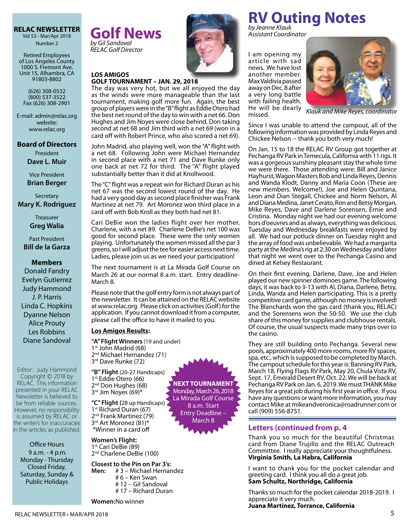Vol 53 - Mar/Apr 2018 Number 2

Retired Employees of Los Angeles County 1000 S. Fremont Ave. Unit 15, Alhambra, CA 91803-8802

(626) 308-0532 (800) 537-3522 Fax (626) 308-2901

E-mail: admin@relac.org website: www.relac.org

**Board of Directors**

President **Dave L. Muir**

Vice President **Brian Berger**

**Secretary Mary K. Rodriguez**

> Treasurer **Greg Walia**

Past President **Bill de la Garza**

#### **Members**

Donald Fandry Evelyn Gutierrez Judy Hammond J. P. Harris Linda C. Hopkins Dyanne Nelson Alice Prouty Les Robbins Diane Sandoval

Editor: Judy Hammond Copyright © 2018 by RELAC. This information presented in your RELAC Newsletter is believed to be from reliable sources. However, no responsibility is assumed by RELAC or the writers for inaccuracies in the articles as published.

Office Hours 9 a.m. - 4 p.m. Monday - Thursday Closed Friday, Saturday, Sunday & Public Holidays

**RELAC NEWSLETTER Golf News** *by Gil Sandoval RELAC Golf Director*



#### **LOS AMIGOS GOLF TOURNAMENT – JAN. 29, 2018**

The day was very hot, but we all enjoyed the day as the winds were more manageable than the last tournament, making golf more fun. Again, the best group of players were in the "B" flight as Eddie Otero had the best net round of the day to win with a net 66. Don Hughes and Jim Noyes were close behind, Don taking second at net 68 and Jim third with a net 69 (won in a card off with Robert Prince, who also scored a net 69).

John Madrid, also playing well, won the "A" flight with a net 68. Following John were Michael Hernandez in second place with a net 71 and Dave Runke only one back at net 72 for third. The "A" flight played substantially better than it did at Knollwood.

The "C" flight was a repeat win for Richard Duran as his net 67 was the second lowest round of the day. He had a very good day as second place finisher was Frank Martinez at net 79. Art Moronez won third place in a card off with Bob Kroll as they both had net 81.

Cari DeBie won the ladies flight over her mother, Charlene, with a net 89. Charlene DeBie's net 100 was good for second place. These were the only women playing. Unfortunately the women missed all the par 3 greens, so I will adjust the tee for easier access next time. Ladies, please join us as we need your participation!

The next tournament is at La Mirada Golf Course on March 26 at our normal 8 a.m. start. Entry deadline-March 8.

Please note that the golf entry form is not always part of the newsletter. It can be attained on the RELAC website at www.relac.org. Please click on activities (Golf) for the application. If you cannot download it from a computer, please call the office to have it mailed to you.

> **NEXT TOURNAMENT** Monday, March 26, 2018 La Mirada Golf Course 8 a.m. Start Entry Deadline – March 8

#### **Los Amigos Results:**

**"A" Flight Winners** (19 and under) 1<sup>st</sup> John Madrid (68) 2<sup>nd</sup> Michael Hernandez (71) 3<sup>rd</sup> Dave Runke (72)

**"B" Flight** (20-27 Handicaps) 1<sup>st</sup> Eddie Otero (66) 2<sup>nd</sup> Don Hughes (68) 3rd Jim Noyes (69)\*

**"C" Flight (**28 up Handicaps) 1<sup>st</sup> Richard Duran (67) 2<sup>nd</sup> Frank Martinez (79) 3<sup>rd</sup> Art Moronez (81)\* \*Winner in a card off

**Women's Flight:**  1<sup>st</sup> Cari DeBie (89) 2<sup>nd</sup> Charlene DeBie (100)

**Women:**No winner

### **Closest to the Pin on Par 3's:**

**Men:** # 3 – Michael Hernandez # 6 – Ken Swan # 12 – Gil Sandoval # 17 – Richard Duran

**RV Outing Notes** *by Jeanne Klauk*

*Assistant Coordinator*

I am opening my ar ticle with sad news. We have lost another member. Max Valdivia passed away on Dec. 8 after a very long battle with failing health. He will be dearly missed.



*Klauk and Mike Reyes, coordinator*

Since I was unable to attend the campout, all of the following information was provided by Linda Reyes and Chickee Nelson -- thank you both very much!

On Jan. 15 to 18 the RELAC RV Group got together at Pechanga RV Park in Temecula, California with 11 rigs. It was a gorgeous sunshiny pleasant stay the whole time we were there. Those attending were: Bill and Janice Hayhurst, Wagon Masters Bob and Linda Reyes, Dennis and Wanda Klodt, Danny and Maria Coon (These are new members. Welcome!), Joe and Helen Quintana, Leon and Dian Stegall, Chickee and Norm Nelson, Al and Diana Medina, Janet Cerato, Ron and Betsy Morgan, Mike Reyes, Dave and Darlene Sorensen, Ernie and Cristina. Monday night we had our evening welcome hors d'oeuvres and as always, everything was delicious. Tuesday and Wednesday breakfasts were enjoyed by all. We had our potluck dinner on Tuesday night and the array of food was unbelievable. We had a margarita party at the Medina's rig at 2:30 on Wednesday and later that night we went over to the Pechanga Casino and dined at Kelsey Restaurant.

On their first evening, Darlene, Dave, Joe and Helen played our new spinner dominoes game. The following days, it was back to 3-13 with Al, Diana, Darlene, Betsy, Linda, Wanda and Helen participating. This is a pretty competitive card game, although no money is involved! The Blanchards won the gas card (thank you, RELAC) and the Sorensens won the 50-50. We use the club share of this money for supplies and clubhouse rentals. Of course, the usual suspects made many trips over to the casino.

They are still building onto Pechanga. Several new pools, approximately 400 more rooms, more RV spaces, spa, etc., which is supposed to be completed by March. The campout schedule for this year is: Banning RV Park, March 18, Flying Flags RV Park, May 20, Chula Vista RV, Sept. 17, Emerald Desert RV, Oct. 22. We will be back at Pechanga RV Park on Jan. 6, 2019. We must THANK Mike Reyes for a great job during his first year in office. If you have any questions or want more information, you may contact Mike at mikeandveronica@roadrunner.com or call (909) 556-8751.

#### **Letters (continued from p. 4**

Thank you so much for the beautiful Christmas card from Diane Trujillo and the RELAC Outreach Committee. I really appreciate your thoughtfulness. **Virginia Smith, La Habra, California**

I want to thank you for the pocket calendar and greeting card. I think you all do a great job. **Sam Schultz, Northridge, California**

Thanks so much for the pocket calendar 2018-2019. I appreciate it very much.

**Juana Martinez, Torrance, California**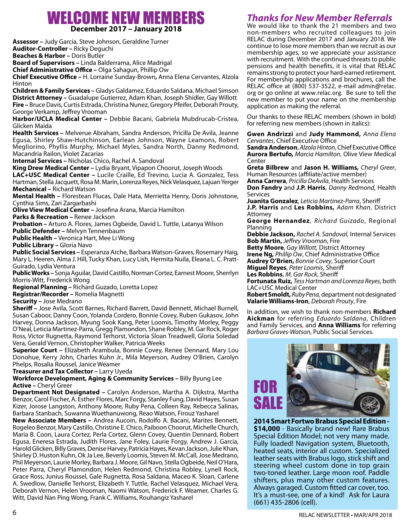### WELCOME NEW MEMBERS **December 2017 – January 2018**

**Assessor –** Judy Garcia, Steve Johnson, Geraldine Turner **Auditor-Controller –** Ricky Deguchi **Beaches & Harbor –** Doris Butler **Board of Supervisors –** Linda Balderrama, Alice Madrigal **Chief Administrative Office –** Olga Sahagun, Phillip Ow **Chief Executive Office –** H. Lorraine Sunday-Brown**,** Anna Elena Cervantes, Alzola Hinton **Children & Family Services –** Gladys Galdamez, Eduardo Saldana, Michael Simson **District Attorney –** Guadalupe Gutierrez, Adam Khan, Joseph Shidler, Gay Willott **Fire –** Bruce Davis, Curtis Estrada, Christina Nunez, Gregory Pfeifer, Deborah Prouty, George Verkamp, Jeffrey Vrooman **Harbor/UCLA Medical Center –** Debbie Bacani, Gabriela Mubdrucab-Cristea, Glicken Maida **Health Services –** Melverue Abraham, Sandra Anderson, Pricilla De Avila, Jeanne Egusa, Shirley Shaw-Hutchinson, Earlean Johnson, Wayne Leamons, Robert Megliorino, Phyllis Murphy, Michael Myles, Sandra North, Danny Redmond, Macandria Railon, Violet Zacarias **Internal Services –** Nicholas Chico, Rachel A. Sandoval **King Drew Medical Center –** Lydia Bryant, Vipapon Choorut, Joseph Woods **LAC+USC Medical Center –** Lucile Craille, Ed Trevino, Lucia A. Gonzalez, Tess Hartman, Stella Jacquett, Rosa M. Marin, Lorenza Reyes, Nick Velasquez, Lajuan Yerger **Mechanical –** Richard Watson **Mental Health –** Florestean Flucas, Dale Hata, Merrietta Henry, Doris Johnstone,

Cynthia Sims, Zari Zargarbashi

**Olive View Medical Center –** Josefina Arana, Marcia Hamilton

Parks & Recreation - Renee Jackson

**Probation –** Arturo A. Flores, James Ogbeide, David L. Tuttle, Latanya Wilson **Public Defender –** Melvyn Tennenbaum

**Public Health –** Veronica Hart, Mee Li Wong

**Public Library –** Gloria Navo

**Public Social Services –** Esperanza Arche, Barbara Watson-Graves, Rosemary Haig, Mary L. Heeren, Alma J. Hill, Tucky Khan, Lucy Lish, Hermita Nuila, Eleana L. C. Pratt-Guirado, Lydia Ventura

**Public Works –** Sonja Aguilar, David Castillo, Norman Cortez, Earnest Moore, Sherrlyn Morris-Witt, Frederick Wong

**Regional Planning –** Richard Guzado, Loretta Lopez

**Registrar/Recorder –** Romelia Magnetti

**Security –** Jose Medrano

**Sheriff –** Jose Avila, Scott Barnes, Richard Barrett, David Bennett, Michael Burnell, Susan Caboor, Danny Coon, Yolanda Cordero, Bonnie Covey, Ruben Gukasov, John Harvey, Donna Jackson, Myung Sook Kang, Peter Loomis, Timothy Morley, Peggy O'Neal, Leticia Martinez-Parra, Gregg Plamondon, Shane Robley, M. Gar Rock, Roger Ross, Victor Rugnetta, Raymond Terhorst, Victoria Sloan Treadwell, Gloria Soledad Vera, Gerald Vernon, Christopher Walker, Patricia Weeks

**Superior Court –** Elizabeth Arambula, Bonnie Covey, Renee Dennard, Mary Lou Donohue, Kerry John, Charles Kuhn Jr., Mila Meyerson, Audrey O'Brien, Carolyn Phelps, Rosalia Roussel, Janice Weamer

**Treasurer and Tax Collector –** Larry Uyeda

**Workforce Development, Aging & Community Services –** Billy Byung Lee **Active –** Cheryl Greer

**Department Not Designated –** Carolyn Anderson, Martha A. Dijkstra, Martha Benzor, Carol Fischer, A. Esther Flores, Marc Forgy, Stanley Fung, David Hayes, Susan Kizer, Jorose Langston, Anthony Moore, Ruby Pena, Colleen Ray, Rebecca Salinas, Barbara Stanbach, Suwanna Wuethanuwong, Reao Watson, Firouz Yasharel

**New Associate Members –** Andrea Aucoin, Rodolfo A. Bacani, Marites Bennett, Rogeleo Benzor, Mary Castillo, Christine E. Chico, Paiboon Choorut, Michelle Church, Maria B. Coon, Laura Cortez, Perla Cortez, Glenn Covey, Quentin Dennard, Robert Egusa, Eneresa Estrada, Judith Flores, Jane Foley, Laurie Forgy, Andrew J. Garcia, Harold Glicken, Billy Graves, Denise Harvey, Patricia Hayes, Kevan Jackson, Julie Khan, Shirley D. Huston Kuhn, Ok Ja Lee, Beverly Loomis, Steven M. McCall, Jose Medrano, Phil Meyerson, Laurie Morley, Barbara J. Moore, Gil Navo, Stella Ogbeide, Neil O'Hara, Peter Parra, Cheryl Plamondon, Helen Redmond, Christina Robley, Lynell Rock, Grace Ross, Junius Roussel, Gale Rugnetta, Rosa Saldana, Maceo K. Sloan, Carlene A. Swedlow, Danielle Terhorst, Elizabeth Y. Tuttle, Rachel Velasquez, Michael Vera, Deborah Vernon, Helen Vrooman, Naomi Watson, Frederick F. Weamer, Charles G. Witt, David Nan Ping Wong, Frank C. Williams, Rouhangiz Yasharel

### *Thanks for New Member Referrals*

We would like to thank the 21 members and two non-members who recruited colleagues to pin RELAC during December 2017 and January 2018. We continue to lose more members than we recruit as our membership ages, so we appreciate your assistance with recruitment. With the continued threats to public pensions and health benefits, it is vital that RELAC remains strong to protect your hard-earned retirement. For membership applications and brochures, call the RELAC office at (800) 537-3522, e-mail admin@relac. org or go online at www.relac.org. Be sure to tell the new member to put your name on the membership application as making the referral.

Our thanks to these RELAC members (shown in bold) for referring new members (shown in italics):

**Gwen Andrizzi** and **Judy Hammond,** *Anna Elena Cervantes*, Chief Executive Office

**Sandra Anderson**, *Alzola Hinton*, Chief Executive Office **Aurora Bertufo,** *Marcia Hamilton*, Olive View Medical Center

**Greta Bilbrew** and **Jason H. Williams***, Cheryl Greer*, Human Resources (affiliate/active member)

**Anna Carrera**, *Pricilla DeAvila*, Health Services

**Don Fandry** and **J.P. Harris**, *Danny Redmond*, Health Services

**Juanita Gonzalez**, *Leticia Martinez-Parra*, Sheriff **J.P. Harris** and **Les Robbins,** *Adam Khan*, District Attorney

**George Hernandez**, *Richard Guizado*, Regional Planning

**Debbie Jackson,** *Rachel A. Sandoval*, Internal Services **Bob Martin,** *Jeffrey Vrooman*, Fire

**Betty Moore**, *Gay Willott,* District Attorney

**Irene Ng,** *Phillip Ow*, Chief Administrative Office

**Audrey O'Brien,** *Bonnie Covey*, Superior Court

**Miguel Reyes**, *Peter Loomis*, Sheriff

**Les Robbins**, *M. Gar Rock*, Sheriff

**Fortunata Ruiz,** *Tess Hartman and Lorenza Reyes*, both LAC+USC Medical Center

**Robert Smoldt, Ruby Pena, department not designated Valarie Williams-Iron**, *Deborah Prouty*, Fire

In addition, we wish to thank non-members **Richard Aickman** for referring *Eduardo Saldana*, Children and Family Services*,* and **Anna Williams** for referring *Barbara Graves-Watson*, Public Social Services.



**2014 Smart Fortwo Brabus Special Edition - \$14,000** - Basically brand new! Rare Brabus Special Edition Model; not very many made. Fully loaded! Navigation system, Bluetooth, heated seats, interior all custom. Specialized leather seats with Brabus logo, stick shift and steering wheel custom done in top grain two-toned leather. Large moon roof. Paddle shifters, plus many other custom features. Always garaged. Custom fitted car cover, too. It's a must-see, one of a kind! Ask for Laura (661) 435-2806 (cell).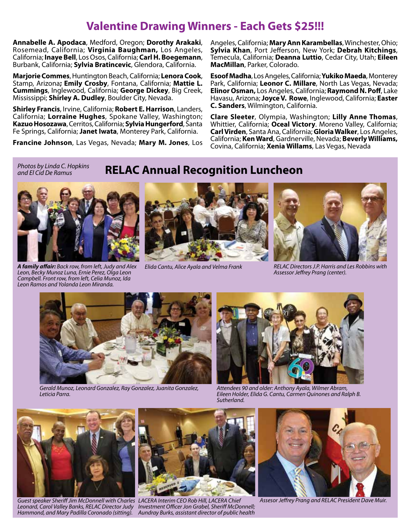### **Valentine Drawing Winners - Each Gets \$25!!!**

**Annabelle A. Apodaca**, Medford, Oregon; **Dorothy Arakaki**, Rosemead, California; **Virginia Baughman,** Los Angeles, California; **Inaye Bell**, Los Osos, California; **Carl H. Boegemann**, Burbank, California; **Sylvia Bratincevic**, Glendora, California.

**Marjorie Commes**, Huntington Beach, California; **Lenora Cook**, Stamp, Arizona**; Emily Crosby**, Fontana, California; **Mattie L. Cummings**, Inglewood, California; **George Dickey**, Big Creek, Mississippi; **Shirley A. Dudley**, Boulder City, Nevada.

**Shirley Francis**, Irvine, California; **Robert E. Harrison**, Landers, California; **Lorraine Hughes**, Spokane Valley, Washington; **Kazuo Hosozawa**, Cerritos, California; **Sylvia Hungerford**, Santa Fe Springs, California; **Janet Iwata**, Monterey Park, California.

**Francine Johnson**, Las Vegas, Nevada; **Mary M. Jones**, Los

Angeles, California; **Mary Ann Karambellas**, Winchester, Ohio; **Sylvia Khan**, Port Jefferson, New York; **Debrah Kitchings**, Temecula, California; **Deanna Luttio**, Cedar City, Utah; **Eileen MacMillan**, Parker, Colorado.

**Esoof Madha**, Los Angeles, California; **Yukiko Maeda**, Monterey Park, California; **Leonor C. Millare**, North Las Vegas, Nevada; **Elinor Osman,** Los Angeles, California; **Raymond N. Poff**, Lake Havasu, Arizona; **Joyce V. Rowe**, Inglewood, California; **Easter C. Sanders**, Wilmington, California.

**Clare Sleeter**, Olympia, Washington; **Lilly Anne Thomas**, Whittier, California; **Oceal Victory**. Moreno Valley, California; **Carl Virden**, Santa Ana, California; **Gloria Walker**, Los Angeles, California; **Ken Ward**, Gardnerville, Nevada; **Beverly Williams,** Covina, California; **Xenia Willams**, Las Vegas, Nevada

*Photos by Linda C. Hopkins and El Cid De Ramus*

### **RELAC Annual Recognition Luncheon**



*A family affair: Back row, from left, Judy and Alex Leon, Becky Munoz Luna, Ernie Perez, Olga Leon Campbell. Front row, from left, Celia Munoz, Ida Leon Ramos and Yolanda Leon Miranda.*





*Elida Cantu, Alice Ayala and Velma Frank RELAC Directors J.P. Harris and Les Robbins with Assessor Jeffrey Prang (center).*



*Gerald Munoz, Leonard Gonzalez, Ray Gonzalez, Juanita Gonzalez, Leticia Parra.*



*Attendees 90 and older: Anthony Ayala, Wilmer Abram, Eileen Holder, Elida G. Cantu, Carmen Quinones and Ralph B. Sutherland.*



*Guest speaker Sheriff Jim McDonnell with Charles LACERA Interim CEO Rob Hill, LACERA Chief Leonard, Carol Valley Banks, RELAC Director Judy Investment Officer Jon Grabel, Sheriff McDonnell;* 



*Hammond, and Mary Padilla Coronado (sitting). Aundray Burks, assistant director of public health*



*Assesor Jeffrey Prang and RELAC President Dave Muir.*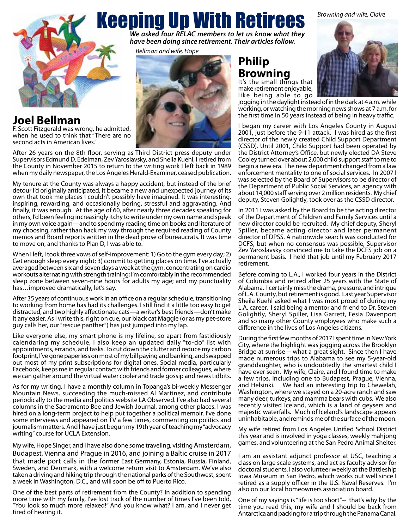*Browning and wife, Claire*



# Keeping Up With Retirees

*We asked four RELAC members to let us know what they have been doing since retirement. Their articles follow.*

*Bellman and wife, Hope*



**Joel Bellman** F. Scott Fitzgerald was wrong, he admitted, when he used to think that "There are no

second acts in American lives."

After 26 years on the 8th floor, serving as Third District press deputy under Supervisors Edmund D. Edelman, Zev Yaroslavsky, and Sheila Kuehl, I retired from the County in November 2015 to return to the writing work I left back in 1989 when my daily newspaper, the Los Angeles Herald-Examiner, ceased publication.

My tenure at the County was always a happy accident, but instead of the brief detour I'd originally anticipated, it became a new and unexpected journey of its own that took me places I couldn't possibly have imagined. It was interesting, inspiring, rewarding, and occasionally boring, stressful and aggravating. And finally, it was enough. At the age of 60, after nearly three decades speaking for others, I'd been feeling increasingly itchy to write under my own name and speak in my own voice again—and to spend my reading time on books and literature of my choosing, rather than hack my way through the required reading of County memos and Board reports written in the dead prose of bureaucrats. It was time to move on, and thanks to Plan D, I was able to.

When I left, I took three vows of self-improvement: 1) Go to the gym every day; 2) Get enough sleep every night; 3) commit to getting places on time. I've actually averaged between six and seven days a week at the gym, concentrating on cardio workouts alternating with strength training; I'm comfortably in the recommended sleep zone between seven-nine hours for adults my age; and my punctuality has…improved dramatically, let's say.

After 35 years of continuous work in an office on a regular schedule, transitioning to working from home has had its challenges. I still find it a little too easy to get distracted, and two highly affectionate cats—a writer's best friends—don't make it any easier. As I write this, right on cue, our black cat Maggie (or as my pet-store guy calls her, our "rescue panther") has just jumped into my lap.

Like everyone else, my smart phone is my lifeline, so apart from fastidiously calendaring my schedule, I also keep an updated daily "to-do" list with appointments, errands, and tasks. To cut down the clutter and reduce my carbon footprint, I've gone paperless on most of my bill paying and banking, and swapped out most of my print subscriptions for digital ones. Social media, particularly Facebook, keeps me in regular contact with friends and former colleagues, where we can gather around the virtual water cooler and trade gossip and news tidbits.

As for my writing, I have a monthly column in Topanga's bi-weekly Messenger Mountain News, succeeding the much-missed Al Martinez, and contribute periodically to the media and politics website LA Observed. I've also had several columns in the Sacramento Bee and Jewish Journal, among other places. I was hired on a long-term project to help put together a political memoir. I've done some interviews and appeared on TV a few times, commenting on politics and journalism matters. And I have just begun my 19th year of teaching my "advocacy writing" course for UCLA Extension.

My wife, Hope Singer, and I have also done some traveling, visiting Amsterdam, Budapest, Vienna and Prague in 2016, and joining a Baltic cruise in 2017 that made port calls in the former East Germany, Estonia, Russia, Finland, Sweden, and Denmark, with a welcome return visit to Amsterdam. We've also taken a driving and hiking trip through the national parks of the Southwest, spent a week in Washington, D.C., and will soon be off to Puerto Rico.

tired of hearing it. One of the best parts of retirement from the County? In addition to spending more time with my family, I've lost track of the number of times I've been told, "You look so much more relaxed!" And you know what? I am, and I never get

## **Philip Browning**

It's the small things that make retirement enjoyable, like being able to go



jogging in the daylight instead of in the dark at 4 a.m. while working, or watching the morning news shows at 7 a.m. for the first time in 50 years instead of being in heavy traffic.

I began my career with Los Angeles County in August 2001, just before the 9-11 attack. I was hired as the first director of the newly created Child Support Department (CSSD). Until 2001, Child Support had been operated by the District Attorney's Office, but newly elected DA Steve Cooley turned over about 2,000 child support staff to me to begin a new era. The new department changed from a law enforcement mentality to one of social services. In 2007 I was selected by the Board of Supervisors to be director of the Department of Public Social Services, an agency with about 14,000 staff serving over 2 million residents. My chief deputy, Steven Golightly, took over as the CSSD director.

In 2011 I was asked by the Board to be the acting director of the Department of Children and Family Services until a new director could be recruited. My chief deputy, Sheryl Spiller, became acting director and later permanent director of DPSS. A nationwide search was conducted for DCFS, but when no consensus was possible, Supervisor Zev Yaroslavsky convinced me to take the DCFS job on a permanent basis. I held that job until my February 2017 retirement.

Before coming to L.A., I worked four years in the District of Columbia and retired after 25 years with the State of Alabama. I certainly miss the drama, pressure, and intrigue of L.A. County, but retirement is good. Last year Supervisor Sheila Kuehl asked what I was most proud of during my L.A. career. I said being a mentor and friend to Dr. Steven Golightly, Sheryl Spiller, Lisa Garrett, Fesia Davenport and so many other County employees who make such a difference in the lives of Los Angeles citizens.

During the first few months of 2017 I spent time in New York City, where the highlight was jogging across the Brooklyn Bridge at sunrise -- what a great sight. Since then I have made numerous trips to Alabama to see my 5-year-old granddaughter, who is undoubtedly the smartest child I have ever seen. My wife, Claire, and I found time to make a few trips, including one to Budapest, Prague, Vienna, and Helsinki. We had an interesting trip to Chewelah, Washington, where we stayed on a 20-acre ranch and saw many deer, turkeys, and mamma bears with cubs. We also recently visited Iceland, which is a land of geysers and majestic waterfalls. Much of Iceland's landscape appears uninhabitable, and reminds me of the surface of the moon.

My wife retired from Los Angeles Unified School District this year and is involved in yoga classes, weekly mahjong games, and volunteering at the San Pedro Animal Shelter.

I am an assistant adjunct professor at USC, teaching a class on large scale systems, and act as faculty advisor for doctoral students. I also volunteer weekly at the Battleship Iowa Museum in San Pedro, which works out well since I retired as a supply officer in the U.S. Naval Reserves. I'm also on our local homeowners association board.

One of my sayings is "life is too short"-- that's why by the time you read this, my wife and I should be back from Antarctica and packing for a trip through the Panama Canal.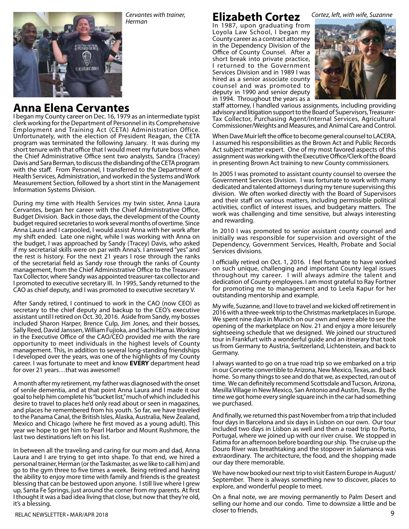

*Browning and wife, Claire Cervantes with trainer, Herman*

### **Elizabeth Cortez**

In 1987, upon graduating from Loyola Law School, I began my County career as a contract attorney in the Dependency Division of the Office of County Counsel. After a short break into private practice, I returned to the Government Services Division and in 1989 I was hired as a senior associate county counsel and was promoted to deputy in 1990 and senior deputy in 1994. Throughout the years as a



*Cortez, left, with wife, Suzanne*

staff attorney, I handled various assignments, including providing advisory and litigation support to the Board of Supervisors, Treasurer-Tax Collector, Purchasing Agent/Internal Services, Agricultural Commissioner/Weights and Measures, and Animal Care and Control.

When Dave Muir left the office to become general counsel to LACERA, I assumed his responsibilities as the Brown Act and Public Records Act subject matter expert. One of my most favored aspects of this assignment was working with the Executive Office/Clerk of the Board in presenting Brown Act training to new County commissioners.

In 2005 I was promoted to assistant county counsel to oversee the Government Services Division. I was fortunate to work with many dedicated and talented attorneys during my tenure supervising this division. We often worked directly with the Board of Supervisors and their staff on various matters, including permissible political activities, conflict of interest issues, and budgetary matters. The work was challenging and time sensitive, but always interesting and rewarding.

In 2010 I was promoted to senior assistant county counsel and initially was responsible for supervision and oversight of the Dependency, Government Services, Health, Probate and Social Services divisions.

I officially retired on Oct. 1, 2016. I feel fortunate to have worked on such unique, challenging and important County legal issues throughout my career. I will always admire the talent and dedication of County employees. I am most grateful to Ray Fortner for promoting me to management and to Leela Kapur for her outstanding mentorship and example.

My wife, Suzanne, and I love to travel and we kicked off retirement in 2016 with a three-week trip to the Christmas marketplaces in Europe. We spent nine days in Munich on our own and were able to see the opening of the marketplace on Nov. 21 and enjoy a more leisurely sightseeing schedule that we designed. We joined our structured tour in Frankfurt with a wonderful guide and an itinerary that took us from Germany to Austria, Switzerland, Lichtenstein, and back to Germany.

I always wanted to go on a true road trip so we embarked on a trip in our Corvette convertible to Arizona, New Mexico, Texas, and back home. So many things to see and do that we, as expected, ran out of time. We can definitely recommend Scottsdale and Tucson, Arizona, Mesilla Village in New Mexico, San Antonio and Austin, Texas. By the time we got home every single square inch in the car had something we purchased.

And finally, we returned this past November from a trip that included four days in Barcelona and six days in Lisbon on our own. Our tour included two days in Lisbon as well and then a road trip to Porto, Portugal, where we joined up with our river cruise. We stopped in Fatima for an afternoon before boarding our ship. The cruise up the Douro River was breathtaking and the stopover in Salamanca was extraordinary. The architecture, the food, and the shopping made our day there memorable.

We have now booked our next trip to visit Eastern Europe in August/ September. There is always something new to discover, places to explore, and wonderful people to meet.

RELAC NEWSLETTER • MAR/APR 2018 **Participal Study of the Contract Contract Contract Contract Contract Contract Contract Contract Contract Contract Contract Contract Contract Contract Contract Contract Contract Contract Con** On a final note, we are moving permanently to Palm Desert and selling our home and our condo. Time to downsize a little and be closer to friends.

### **Anna Elena Cervantes**

I began my County career on Dec. 16, 1979 as an intermediate typist clerk working for the Department of Personnel in its Comprehensive Employment and Training Act (CETA) Administration Office. Unfortunately, with the election of President Reagan, the CETA program was terminated the following January. It was during my short tenure with that office that I would meet my future boss when the Chief Administrative Office sent two analysts, Sandra (Tracey) Davis and Sara Berman, to discuss the disbanding of the CETA program with the staff. From Personnel, I transferred to the Department of Health Services, Administration, and worked in the Systems and Work Measurement Section, followed by a short stint in the Management Information Systems Division.

During my time with Health Services my twin sister, Anna Laura Cervantes, began her career with the Chief Administrative Office, Budget Division. Back in those days, the development of the County budget required secretaries to work several months of overtime. Since Anna Laura and I carpooled, I would assist Anna with her work after my shift ended. Late one night, while I was working with Anna on the budget, I was approached by Sandy (Tracey) Davis, who asked if my secretarial skills were on par with Anna's. I answered "yes" and the rest is history. For the next 21 years I rose through the ranks of the secretarial field as Sandy rose through the ranks of County management, from the Chief Administrative Office to the Treasurer-Tax Collector, where Sandy was appointed treasurer-tax collector and I promoted to executive secretary III. In 1995, Sandy returned to the CAO as chief deputy, and I was promoted to executive secretary V.

After Sandy retired, I continued to work in the CAO (now CEO) as secretary to the chief deputy and backup to the CEO's executive assistant until I retired on Oct. 30, 2016. Aside from Sandy, my bosses included Sharon Harper, Brence Culp, Jim Jones, and their bosses, Sally Reed, David Janssen, William Fujioka, and Sachi Hamai. Working in the Executive Office of the CAO/CEO provided me with the rare opportunity to meet individuals in the highest levels of County management. This, in addition to several long-standing friendships I developed over the years, was one of the highlights of my County career. I was fortunate to meet and know **EVERY** department head for over 21 years…that was awesome!!

A month after my retirement, my father was diagnosed with the onset of senile dementia, and at that point Anna Laura and I made it our goal to help him complete his "bucket list," much of which included his desire to travel to places he'd only read about or seen in magazines, and places he remembered from his youth. So far, we have traveled to the Panama Canal, the British Isles, Alaska, Australia, New Zealand, Mexico and Chicago (where he first moved as a young adult). This year we hope to get him to Pearl Harbor and Mount Rushmore, the last two destinations left on his list.

In between all the traveling and caring for our mom and dad, Anna Laura and I are trying to get into shape. To that end, we hired a personal trainer, Herman (or the Taskmaster, as we like to call him) and go to the gym three to five times a week. Being retired and having the ability to enjoy more time with family and friends is the greatest blessing that can be bestowed upon anyone. I still live where I grew up, Santa Fe Springs, just around the corner from my parents. At first I thought it was a bad idea living that close, but now that they're old, it's a blessing.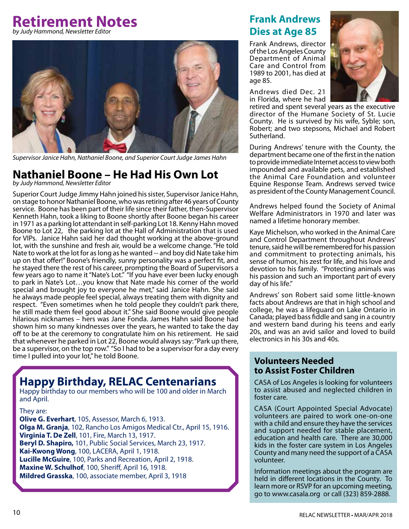### **Retirement Notes** *by Judy Hammond, Newsletter Editor*



*Supervisor Janice Hahn, Nathaniel Boone, and Superior Court Judge James Hahn*

#### **Nathaniel Boone – He Had His Own Lot** *by Judy Hammond, Newsletter Editor*

Superior Court Judge Jimmy Hahn joined his sister, Supervisor Janice Hahn, on stage to honor Nathaniel Boone, who was retiring after 46 years of County service. Boone has been part of their life since their father, then-Supervisor Kenneth Hahn, took a liking to Boone shortly after Boone began his career in 1971 as a parking lot attendant in self-parking Lot 18. Kenny Hahn moved Boone to Lot 22, the parking lot at the Hall of Administration that is used for VIPs. Janice Hahn said her dad thought working at the above-ground lot, with the sunshine and fresh air, would be a welcome change. "He told Nate to work at the lot for as long as he wanted -- and boy did Nate take him up on that offer!" Boone's friendly, sunny personality was a perfect fit, and he stayed there the rest of his career, prompting the Board of Supervisors a few years ago to name it "Nate's Lot." "If you have ever been lucky enough to park in Nate's Lot…you know that Nate made his corner of the world special and brought joy to everyone he met," said Janice Hahn. She said he always made people feel special, always treating them with dignity and respect. "Even sometimes when he told people they couldn't park there, he still made them feel good about it." She said Boone would give people hilarious nicknames – hers was Jane Fonda. James Hahn said Boone had shown him so many kindnesses over the years, he wanted to take the day off to be at the ceremony to congratulate him on his retirement. He said that whenever he parked in Lot 22, Boone would always say: "Park up there, be a supervisor, on the top row." "So I had to be a supervisor for a day every time I pulled into your lot," he told Boone.

### **Happy Birthday, RELAC Centenarians**

Happy birthday to our members who will be 100 and older in March and April.

They are:

**Olive G. Everhart**, 105, Assessor, March 6, 1913. **Olga M. Granja**, 102, Rancho Los Amigos Medical Ctr., April 15, 1916. **Virginia T. De Zell**, 101, Fire, March 13, 1917. **Beryl D. Shapiro,** 101, Public Social Services, March 23, 1917. **Kai-Kwong Wong**, 100, LACERA, April 1, 1918. **Lucille McGuire**, 100, Parks and Recreation, April 2, 1918. **Maxine W. Schulhof**, 100, Sheriff, April 16, 1918. **Mildred Grasska**, 100, associate member, April 3, 1918

### **Frank Andrews Dies at Age 85**

Frank Andrews, director of the Los Angeles County Department of Animal Care and Control from 1989 to 2001, has died at age 85.

Andrews died Dec. 21 in Florida, where he had



retired and spent several years as the executive director of the Humane Society of St. Lucie County. He is survived by his wife, Syble; son, Robert; and two stepsons, Michael and Robert Sutherland.

During Andrews' tenure with the County, the department became one of the first in the nation to provide immediate Internet access to view both impounded and available pets, and established the Animal Care Foundation and volunteer Equine Response Team. Andrews served twice as president of the County Management Council.

Andrews helped found the Society of Animal Welfare Administrators in 1970 and later was named a lifetime honorary member.

Kaye Michelson, who worked in the Animal Care and Control Department throughout Andrews' tenure, said he will be remembered for his passion and commitment to protecting animals, his sense of humor, his zest for life, and his love and devotion to his family. "Protecting animals was his passion and such an important part of every day of his life."

Andrews' son Robert said some little-known facts about Andrews are that in high school and college, he was a lifeguard on Lake Ontario in Canada; played bass fiddle and sang in a country and western band during his teens and early 20s, and was an avid sailor and loved to build electronics in his 30s and 40s.

### **Volunteers Needed to Assist Foster Children**

CASA of Los Angeles is looking for volunteers to assist abused and neglected children in foster care.

CASA (Court Appointed Special Advocate) volunteers are paired to work one-on-one with a child and ensure they have the services and support needed for stable placement, education and health care. There are 30,000 kids in the foster care system in Los Angeles County and many need the support of a CASA volunteer.

Information meetings about the program are held in different locations in the County. To learn more or RSVP for an upcoming meeting, go to www.casala.org or call (323) 859-2888.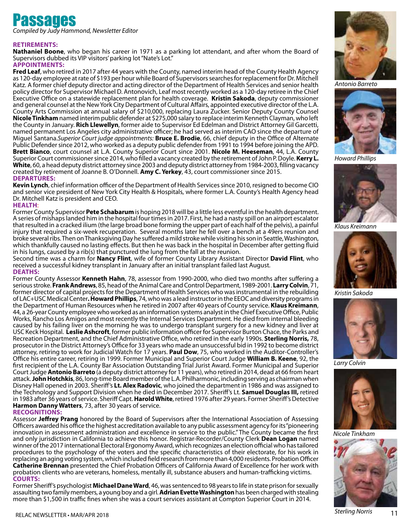# **Passages**<br>Compiled by Judy Hammond, Newsletter Editor

#### **Retirements:**

**Nathaniel Boone**, who began his career in 1971 as a parking lot attendant, and after whom the Board of Supervisors dubbed its VIP visitors' parking lot "Nate's Lot."

#### **Appointments:**

**Fred Leaf**, who retired in 2017 after 44 years with the County, named interim head of the County Health Agency as 120-day employee at rate of \$193 per hour while Board of Supervisors searches for replacement for Dr. Mitchell Katz. A former chief deputy director and acting director of the Department of Health Services and senior health policy director for Supervisor Michael D. Antonovich, Leaf most recently worked as a 120-day retiree in the Chief Executive Office on a statewide replacement plan for health coverage. **Kristin Sakoda**, deputy commissioner and general counsel at the New York City Department of Cultural Affairs, appointed executive director of the L.A. County Arts Commission at annual salary of \$210,000, replacing Laura Zucker. Senior Deputy County Counsel **Nicole Tinkham** named interim public defender at \$275,000 salary to replace interim Kenneth Clayman, who left the County in January. **Rich Llewellyn**, former aide to Supervisor Ed Edelman and District Attorney Gil Garcetti, named permanent Los Angeles city administrative officer; he had served as interim CAO since the departure of Miguel Santana.*Superior Court judge appointments:* **Bruce E. Brodie**, 66, chief deputy in the Office of Alternate Public Defender since 2012, who worked as a deputy public defender from 1991 to 1994 before joining the APD. **Brett Bianco**, court counsel at L.A. County Superior Court since 2001. **Nicole M. Heeseman**, 44, L.A. County Superior Court commissioner since 2014, who filled a vacancy created by the retirement of John P. Doyle. **Kerry L. White**, 60, a head deputy district attorney since 2003 and deputy district attorney from 1984-2003, filling vacancy created by retirement of Joanne B. O'Donnell. **Amy C. Yerkey**, 43, court commissioner since 2015. **Departures:**

**Kevin Lynch**, chief information officer of the Department of Health Services since 2010, resigned to become CIO and senior vice president of New York City Health & Hospitals, where former L.A. County's Health Agency head Dr. Mitchell Katz is president and CEO.

#### **Health**:

Former County Supervisor **Pete Schabarum** is hoping 2018 will be a little less eventful in the health department. A series of mishaps landed him in the hospital four times in 2017. First, he had a nasty spill on an airport escalator that resulted in a cracked ilium (the large broad bone forming the upper part of each half of the pelvis), a painful injury that required a six-week recuperation. Several months later he fell over a bench at a 49ers reunion and broke several ribs. Then on Thanksgiving Day he suffered a mild stroke while visiting his son in Seattle, Washington, which thankfully caused no lasting effects. But then he was back in the hospital in December after getting fluid in his lungs, caused by a rib(s) that punctured the lung from the fall at the reunion.

Second time was a charm for **Nancy Flint**, wife of former County Library Assistant Director **David Flint**, who received a successful kidney transplant in January after an initial transplant failed last August. **Deaths:**

Former County Assessor **Kenneth Hahn**, 78, assessor from 1990-2000, who died two months after suffering a serious stroke. **Frank Andrews**, 85, head of the Animal Care and Control Department, 1989-2001. **Larry Colvin**, 71, former director of capital projects for the Department of Health Services who was instrumental in the rebuilding of LAC+USC Medical Center**. Howard Phillips**, 74, who was a lead instructor in the EEOC and diversity programs in the Department of Human Resources when he retired in 2007 after 40 years of County service. **Klaus Kreimann**, 44, a 26-year County employee who worked as an information systems analyst in the Chief Executive Office, Public Works, Rancho Los Amigos and most recently the Internal Services Department. He died from internal bleeding caused by his failing liver on the morning he was to undergo transplant surgery for a new kidney and liver at USC Keck Hospital. **Leslie Ashcroft**, former public information officer for Supervisor Burton Chace, the Parks and Recreation Department, and the Chief Administrative Office, who retired in the early 1990s. **Sterling Norris,** 78, prosecutor in the District Attorney's Office for 33 years who made an unsuccessful bid in 1992 to become district attorney, retiring to work for Judicial Watch for 17 years. **Paul Dow**, 75, who worked in the Auditor-Controller's Office his entire career, retiring in 1999. Former Municipal and Superior Court Judge **William B. Keene**, 92, the first recipient of the L.A. County Bar Association Outstanding Trial Jurist Award. Former Municipal and Superior Court Judge **Antonio Barreto** (a deputy district attorney for 11 years), who retired in 2014, dead at 66 from heart attack. **John Hotchkis**, 86, long-time Board member of the L.A. Philharmonic, including serving as chairman when Disney Hall opened in 2003. Sheriff's **Lt. Alex Radovic**, who joined the department in 1986 and was assigned to the Technology and Support Division when he died in December 2017. Sheriff's Lt. **Samuel Douglas III,** retired in 1983 after 36 years of service. Sheriff Capt. **Harold White**, retired 1976 after 29 years. Former Sheriff's Detective **Harmon Danny Watters**, 73, after 30 years of service.

**Recognitions:** 

Assessor **Jeffrey Prang** honored by the Board of Supervisors after the International Association of Assessing Officers awarded his office the highest accreditation available to any public assessment agency for its "pioneering innovation in assessment administration and excellence in service to the public." The County became the first and only jurisdiction in California to achieve this honor. Registrar-Recorder/County Clerk **Dean Logan** named winner of the 2017 international Electoral Ergonomy Award, which recognizes an election official who has tailored procedures to the psychology of the voters and the specific characteristics of their electorate, for his work in replacing an aging voting system, which included field research from more than 4,000 residents. Probation Officer **Catherine Brennan** presented the Chief Probation Officers of California Award of Excellence for her work with probation clients who are veterans, homeless, mentally ill, substance abusers and human-trafficking victims. **Courts:** 

Former Sheriff's psychologist **Michael Dane Ward**, 46, was sentenced to 98 years to life in state prison for sexually assaulting two family members, a young boy and a girl. **Adrian Evette Washington** has been charged with stealing more than \$1,500 in traffic fines when she was a court services assistant at Compton Superior Court in 2014.







*Howard Phillips*



*Klaus Kreimann*



*Kristin Sakoda*



*Larry Colvin*



*Nicole Tinkham*

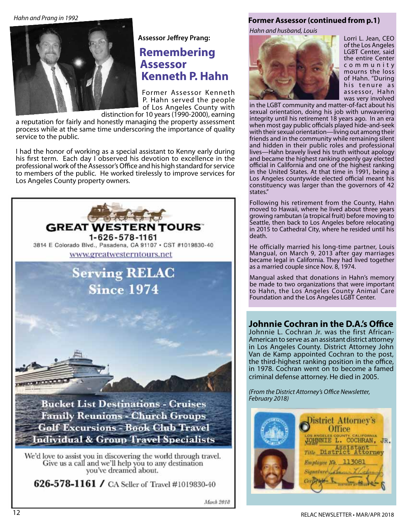*Hahn and Prang in 1992*



**Assessor Jeffrey Prang:**

### **Remembering Assessor Kenneth P. Hahn**

Former Assessor Kenneth P. Hahn served the people of Los Angeles County with

distinction for 10 years (1990-2000), earning a reputation for fairly and honestly managing the property assessment process while at the same time underscoring the importance of quality service to the public.

I had the honor of working as a special assistant to Kenny early during his first term. Each day I observed his devotion to excellence in the professional work of the Assessor's Office and his high standard for service to members of the public. He worked tirelessly to improve services for Los Angeles County property owners.



626-578-1161 / CA Seller of Travel #1019830-40

#### **Former Assessor (continued from p.1)**

*Hahn and husband, Louis*



Lorri L. Jean, CEO of the Los Angeles LGBT Center, said the entire Center c o m m u n i t y mourns the loss of Hahn. "During his tenure as assessor, Hahn was very involved

in the LGBT community and matter-of-fact about his sexual orientation, doing his job with unwavering integrity until his retirement 18 years ago. In an era when most gay public officials played hide-and-seek with their sexual orientation—living out among their friends and in the community while remaining silent and hidden in their public roles and professional lives—Hahn bravely lived his truth without apology and became the highest ranking openly gay elected official in California and one of the highest ranking in the United States. At that time in 1991, being a Los Angeles countywide elected official meant his constituency was larger than the governors of 42 states."

Following his retirement from the County, Hahn moved to Hawaii, where he lived about three years growing rambutan (a tropical fruit) before moving to Seattle, then back to Los Angeles before relocating in 2015 to Cathedral City, where he resided until his death.

He officially married his long-time partner, Louis Mangual, on March 9, 2013 after gay marriages became legal in California. They had lived together as a married couple since Nov. 8, 1974.

Mangual asked that donations in Hahn's memory be made to two organizations that were important to Hahn, the Los Angeles County Animal Care Foundation and the Los Angeles LGBT Center.

### **Johnnie Cochran in the D.A.'s Office**

Johnnie L. Cochran Jr. was the first African-American to serve as an assistant district attorney in Los Angeles County. District Attorney John Van de Kamp appointed Cochran to the post, the third-highest ranking position in the office, in 1978. Cochran went on to become a famed criminal defense attorney. He died in 2005.

*(From the District Attorney's Office Newsletter, February 2018)*

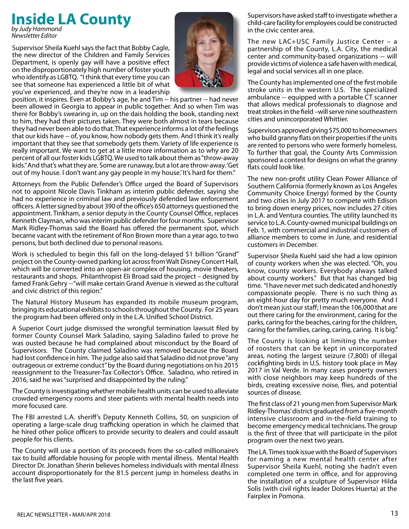#### **Inside LA County** *by Judy Hammond*

*Newsletter Editor*

Supervisor Sheila Kuehl says the fact that Bobby Cagle, the new director of the Children and Family Services Department, is openly gay will have a positive effect on the disproportionately high number of foster youth who identify as LGBTQ. "I think that every time you can see that someone has experienced a little bit of what you've experienced, and they're now in a leadership



position, it inspires. Even at Bobby's age, he and Tim -- his partner -- had never been allowed in Georgia to appear in public together. And so when Tim was there for Bobby's swearing in, up on the dais holding the book, standing next to him, they had their pictures taken. They were both almost in tears because they had never been able to do that. That experience informs a lot of the feelings that our kids have -- of, you know, how nobody gets them. And I think it's really important that they see that somebody gets them. Variety of life experience is really important. We want to get at a little more information as to why are 20 percent of all our foster kids LGBTQ. We used to talk about them as "throw-away kids." And that's what they are. Some are runaway, but a lot are throw-away. 'Get out of my house. I don't want any gay people in my house.' It's hard for them."

Attorneys from the Public Defender's Office urged the Board of Supervisors not to appoint Nicole Davis Tinkham as interim public defender, saying she had no experience in criminal law and previously defended law enforcement officers. A letter signed by about 390 of the office's 650 attorneys questioned the appointment. Tinkham, a senior deputy in the County Counsel Office, replaces Kenneth Clayman, who was interim public defender for four months. Supervisor Mark Ridley-Thomas said the Board has offered the permanent spot, which became vacant with the retirement of Ron Brown more than a year ago, to two persons, but both declined due to personal reasons.

Work is scheduled to begin this fall on the long-delayed \$1 billion "Grand" project on the County-owned parking lot across from Walt Disney Concert Hall, which will be converted into an open-air complex of housing, movie theaters, restaurants and shops. Philanthropist Eli Broad said the project – designed by famed Frank Gehry --"will make certain Grand Avenue is viewed as the cultural and civic district of this region."

The Natural History Museum has expanded its mobile museum program, bringing its educational exhibits to schools throughout the County. For 25 years the program had been offered only in the L.A. Unified School District.

A Superior Court judge dismissed the wrongful termination lawsuit filed by former County Counsel Mark Saladino, saying Saladino failed to prove he was ousted because he had complained about misconduct by the Board of Supervisors. The County claimed Saladino was removed because the Board had lost confidence in him. The judge also said that Saladino did not prove "any outrageous or extreme conduct" by the Board during negotiations on his 2015 reassignment to the Treasurer-Tax Collector's Office. Saladino, who retired in 2016, said he was "surprised and disappointed by the ruling."

The County is investigating whether mobile health units can be used to alleviate crowded emergency rooms and steer patients with mental health needs into more focused care.

The FBI arrested L.A. sheriff's Deputy Kenneth Collins, 50, on suspicion of operating a large-scale drug trafficking operation in which he claimed that he hired other police officers to provide security to dealers and could assault people for his clients.

The County will use a portion of its proceeds from the so-called millionaire's tax to build affordable housing for people with mental illness. Mental Health Director Dr. Jonathan Sherin believes homeless individuals with mental illness account disproportionately for the 81.5 percent jump in homeless deaths in the last five years.

Supervisors have asked staff to investigate whether a child-care facility for employees could be constructed in the civic center area.

The new LAC+USC Family Justice Center – a partnership of the County, L.A. City, the medical center and community-based organizations -- will provide victims of violence a safe haven with medical, legal and social services all in one place.

The County has implemented one of the first mobile stroke units in the western U.S. The specialized ambulance -- equipped with a portable CT scanner that allows medical professionals to diagnose and treat strokes in the field –will serve nine southeastern cities and unincorporated Whittier.

Supervisors approved giving \$75,000 to homeowners who build granny flats on their properties if the units are rented to persons who were formerly homeless. To further that goal, the County Arts Commission sponsored a contest for designs on what the granny flats could look like.

The new non-profit utility Clean Power Alliance of Southern California (formerly known as Los Angeles Community Choice Energy) formed by the County and two cities in July 2017 to compete with Edison to bring down energy prices, now includes 27 cities in L.A. and Ventura counties. The utility launched its service to L.A. County-owned municipal buildings on Feb. 1, with commercial and industrial customers of alliance members to come in June, and residential customers in December.

Supervisor Sheila Kuehl said she had a low opinion of county workers when she was elected. "Oh, you know, county workers. Everybody always talked about county workers." But that has changed big time. "I have never met such dedicated and honestly compassionate people. There is no such thing as an eight-hour day for pretty much everyone. And I don't mean just our staff; I mean the 106,000 that are out there caring for the environment, caring for the parks, caring for the beaches, caring for the children, caring for the families, caring, caring, caring. It is big."

The County is looking at limiting the number of roosters that can be kept in unincorporated areas, noting the largest seizure (7,800) of illegal cockfighting birds in U.S. history took place in May 2017 in Val Verde. In many cases property owners with close neighbors may keep hundreds of the birds, creating excessive noise, flies, and potential sources of disease.

The first class of 21 young men from Supervisor Mark Ridley-Thomas' district graduated from a five-month intensive classroom and in-the-field training to become emergency medical technicians. The group is the first of three that will participate in the pilot program over the next two years.

The LA. Times took issue with the Board of Supervisors for naming a new mental health center after Supervisor Sheila Kuehl, noting she hadn't even completed one term in office, and for approving the installation of a sculpture of Supervisor Hilda Solis (with civil rights leader Dolores Huerta) at the Fairplex in Pomona.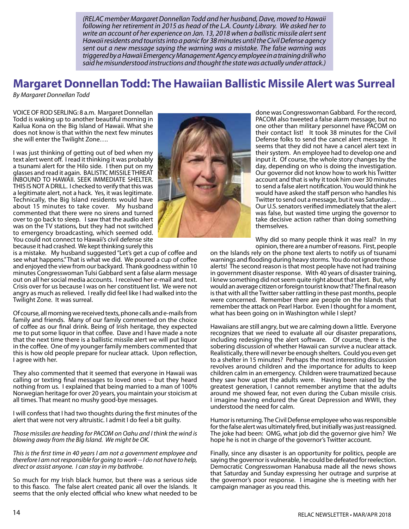*(RELAC member Margaret Donnellan Todd and her husband, Dave, moved to Hawaii following her retirement in 2015 as head of the L.A. County Library. We asked her to write an account of her experience on Jan. 13, 2018 when a ballistic missile alert sent Hawaii residents and tourists into a panic for 38 minutes until the Civil Defense agency sent out a new message saying the warning was a mistake. The false warning was triggered by aHawaii Emergency Management Agency employee in a training drill who said he misunderstood instructions and thought the state was actually under attack.)*

### **Margaret Donnellan Todd: The Hawaiian Ballistic Missile Alert was Surreal**

*By Margaret Donnellan Todd*

VOICE OF ROD SERLING: 8 a.m. Margaret Donnellan Todd is waking up to another beautiful morning in Kailua Kona on the Big Island of Hawaii. What she does not know is that within the next few minutes she will enter the Twilight Zone….

I was just thinking of getting out of bed when my text alert went off. I read it thinking it was probably a tsunami alert for the Hilo side. I then put on my glasses and read it again. BALISTIC MISSILE THREAT INBOUND TO HAWAII. SEEK IMMEDIATE SHELTER. THIS IS NOT A DRILL. I checked to verify that this was a legitimate alert, not a hack. Yes, it was legitimate. Technically, the Big Island residents would have about 15 minutes to take cover. My husband commented that there were no sirens and turned over to go back to sleep. I saw that the audio alert was on the TV stations, but they had not switched to emergency broadcasting, which seemed odd. You could not connect to Hawaii's civil defense site because it had crashed. We kept thinking surely this

is a mistake. My husband suggested "Let's get a cup of coffee and see what happens." That is what we did. We poured a cup of coffee and enjoyed the view from our backyard. Thank goodness within 10 minutes Congresswoman Tulsi Gabbard sent a false alarm message out on all her social media accounts. I received her e-mail and text. Crisis over for us because I was on her constituent list. We were not angry as much as relieved. I really did feel like I had walked into the Twilight Zone. It was surreal.

Of course, all morning we received texts, phone calls and e-mails from family and friends. Many of our family commented on the choice of coffee as our final drink. Being of Irish heritage, they expected me to put some liquor in that coffee. Dave and I have made a note that the next time there is a ballistic missile alert we will put liquor in the coffee. One of my younger family members commented that this is how old people prepare for nuclear attack. Upon reflection, I agree with her.

They also commented that it seemed that everyone in Hawaii was calling or texting final messages to loved ones -- but they heard nothing from us. I explained that being married to a man of 100% Norwegian heritage for over 20 years, you maintain your stoicism at all times. That meant no mushy good-bye messages.

I will confess that I had two thoughts during the first minutes of the alert that were not very altruistic. I admit I do feel a bit guilty.

*Those missiles are heading for PACOM on Oahu and I think the wind is blowing away from the Big Island. We might be OK.* 

*This is the first time in 40 years I am not a government employee and therefore I am not responsible for going to work -- I do not have to help, direct or assist anyone. I can stay in my bathrobe.*

So much for my Irish black humor, but there was a serious side to this fiasco. The false alert created panic all over the Islands. It seems that the only elected official who knew what needed to be



done was Congresswoman Gabbard. For the record, PACOM also tweeted a false alarm message, but no one other than military personnel have PACOM on their contact list! It took 38 minutes for the Civil Defense folks to send the cancel alert message. It seems that they did not have a cancel alert text in their system. An employee had to develop one and input it. Of course, the whole story changes by the day, depending on who is doing the investigation. Our governor did not know how to work his Twitter account and that is why it took him over 30 minutes to send a false alert notification. You would think he would have asked the staff person who handles his Twitter to send out a message, but it was Saturday… Our U.S. senators verified immediately that the alert was false, but wasted time urging the governor to take decisive action rather than doing something themselves.

Why did so many people think it was real? In my opinion, there are a number of reasons. First, people

on the Islands rely on the phone text alerts to notify us of tsunami warnings and flooding during heavy storms. You do not ignore those alerts! The second reason is that most people have not had training in government disaster response. With 40 years of disaster training, I knew something did not seem quite right about that alert. But, why would an average citizen or foreign tourist know that? The final reason is that with all the Twitter saber rattling in these past months, people were concerned. Remember there are people on the Islands that remember the attack on Pearl Harbor. Even I thought for a moment, what has been going on in Washington while I slept?

Hawaiians are still angry, but we are calming down a little. Everyone recognizes that we need to evaluate all our disaster preparations, including redesigning the alert software. Of course, there is the sobering discussion of whether Hawaii can survive a nuclear attack. Realistically, there will never be enough shelters. Could you even get to a shelter in 15 minutes? Perhaps the most interesting discussion revolves around children and the importance for adults to keep children calm in an emergency. Children were traumatized because they saw how upset the adults were. Having been raised by the greatest generation, I cannot remember anytime that the adults around me showed fear, not even during the Cuban missile crisis. I imagine having endured the Great Depression and WWII, they understood the need for calm.

Humor is returning. The Civil Defense employee who was responsible for the false alert was ultimately fired, but initially was just reassigned. The joke had been: OMG, what job did the governor give him? We hope he is not in charge of the governor's Twitter account.

Finally, since any disaster is an opportunity for politics, people are saying the governor is vulnerable, he could be defeated for reelection. Democratic Congresswoman Hanabusa made all the news shows that Saturday and Sunday expressing her outrage and surprise at the governor's poor response. I imagine she is meeting with her campaign manager as you read this.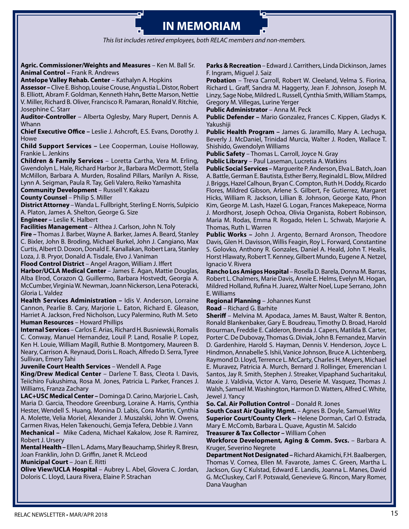#### **IN MEMORIAM** ׇ֦֚֘

*This list includes retired employees, both RELAC members and non-members.*

**Agric. Commissioner/Weights and Measures** – Ken M. Ball Sr. **Animal Control –** Frank R. Andrews

**Antelope Valley Rehab. Center** – Kathalyn A. Hopkins

**Assessor –** Clive E. Bishop, Louise Crouse,Angustia L. Distor,Robert B. Elliott, Abram F. Goldman, Kenneth Hahn**,** Bette Marson, Nettie V. Miller, Richard B. Oliver, Francisco R. Pamaran, Ronald V. Ritchie, Josephine C. Starr

**Auditor-Controller** – Alberta Oglesby, Mary Rupert, Dennis A. Whann

**Chief Executive Office –** Leslie J. Ashcroft, E.S. Evans, Dorothy J. Howe

**Child Support Services –** Lee Cooperman, Louise Holloway, Frankie L. Jenkins

**Children & Family Services** – Loretta Cartha, Vera M. Erling, Gwendolyn L. Hale, Richard Harbor Jr., Barbara McDermott, Stella McMillon, Barbara A. Murden, Rosalind Pillars, Marilyn A. Risse, Lynn A. Seigman, Paula R. Tay, Geli Valero, Reiko Yamashita

**Community Development** – Russell Y. Kakazu

**County Counsel** – Philip S. Miller

**District Attorney** – Wanda L. Fullbright, Sterling E. Norris, Sulpicio A. Platon, James A. Shelton, George G. Size

**Engineer –** Leslie K. Halbert

**Facilities Management** – Althea J. Carlson, John N. Toly

**Fire –** Thomas J. Barber, Wayne A. Barker, James A. Beard, Stanley C. Bixler, John B. Broding, Michael Burkel, John J. Cangiano, Max Curtis, Albert D. Doxon, Donald E. Kanallakan, Robert Lara, Stanley Loza, J. B. Pryor, Donald A. Tisdale, Elvo J. Vaniman

**Flood Control District** – Angel Aragon, William J. Iffert

**Harbor/UCLA Medical Center** – James E. Agan, Mattie Douglas, Alba Elrod, Corazon Q. Guillermo, Barbara Hostvedt, Georgia A. McCumber, Virginia W. Newman, Joann Nickerson, Lena Poteracki, Gloria L. Valdez

**Health Services Administration –** Idis V. Anderson, Lorraine Cannon, Pearlie B. Cary, Marjorie L. Eaton, Richard E. Gleason, Harriet A. Jackson, Fred Nicholson, Lucy Palermino, Ruth M. Seto **Human Resources** – Howard Phillips

**Internal Services** – Carlos E. Arias, Richard H. Busniewski, Romalis C. Conway, Manuel Hernandez, Louil P. Land, Rosalie P. Lopez, Ken H. Louie, William Magill, Ruthie B. Montgomery, Maureen B. Neary, Carrison A. Reynaud, Doris L. Roach, Alfredo D. Serra, Tyree Sullivan, Emery Tahi

**Juvenile Court Health Services** – Wendell A. Page

**King/Drew Medical Center** – Darlene T. Bass, Cleota I. Davis, Teiichiro Fukushima, Rosa M. Jones, Patricia L. Parker, Frances J. Williams, Franza Zachary

**LAC+USC Medical Center –** Dominga D. Carino, Marjorie L. Cash, Maria D. Garcia, Theodore Greenburg, Loraine A. Harris, Cynthia Hester, Wendell S. Huang, Monina D. Labis, Cora Martin, Cynthia A. Molette, Velia Moriel, Alexander J. Muszalski, John W. Owens, Carmen Rivas, Helen Takenouchi, Gemja Tefera, Debbie J. Vann

**Mechanical –** Mike Cadena, Michael Kakalow, Jose R. Ramirez, Robert J. Ursery

**Mental Health –** Ellen L. Adams, Mary Beauchamp, Shirley R. Bresn, Joan Franklin, John D. Griffin, Janet R. McLeod

**Municipal Court** – Joan E. Ritti

**Olive View/UCLA Hospital** – Aubrey L. Abel, Glovera C. Jordan, Doloris C. Lloyd, Laura Rivera, Elaine P. Strachan

**Parks & Recreation** – Edward J. Carrithers, Linda Dickinson, James F. Ingram, Miguel J. Saiz

**Probation** – Treva Carroll, Robert W. Cleeland, Velma S. Fiorina, Richard L. Graff, Sandra M. Haggerty, Jean F. Johnson, Joseph M. Linzy, Sage Nobe, Mildred L. Russell, Cynthia Smith, William Stamps, Gregory M. Villegas, Lurine Yerger

**Public Administrator** – Anna M. Peck

**Public Defender –** Mario Gonzalez, Frances C. Kippen, Gladys K. Yakushiji

**Public Health Program –** James G. Jaramillo, Mary A. Lechuga, Beverly J. McDaniel, Trinidad Murcia, Walter J. Roden, Wallace T. Shishido, Gwendolyn Williams

**Public Safety** – Thomas L. Carroll, Joyce N. Gray

**Public Library** – Paul Laseman, Lucretia A. Watkins

**Public Social Services –** Marguerite P. Anderson, Elva L. Batch, Joan A. Battle, German E. Bautista, Esther Berry, Reginald L. Blow, Mildred J. Briggs, Hazel Calhoun, Bryan C. Compton, Ruth H. Doddy, Ricardo Flores, Mildred Gibson, Arlene S. Gilbert, Fe Gutierrez, Margaret Hicks, William R. Jackson, Lillian B. Johnson, George Kato, Phon Kim, George M. Lash, Hazel G. Logan, Frances Makepeace, Norma J. Mordhorst, Joseph Ochoa, Olivia Organista, Robert Robinson, Maria M. Rodas, Emma R. Rogado, Helen L. Schwab, Marjorie A. Thomas, Ruth L. Warren

**Public Works –** John J. Argento, Bernard Aronson, Theodore Davis, Glen H. Davisson, Willis Feagin, Roy L. Forward, Constantine S. Golovko, Anthony R. Gonzales, Daniel A. Heald, John T. Healis, Horst Hlawaty, Robert T. Kenney, Gilbert Mundo, Eugene A. Netzel, Ignacio V. Rivera

**Rancho Los Amigos Hospital** – Rosella D. Barela, Donna M. Barras, Robert L. Chalmers, Marie Davis, Annie E. Helms, Evelyn M. Hogan, Mildred Holland, Rufina H. Juarez, Walter Noel, Lupe Serrano, John E. Williams

#### **Regional Planning** – Johannes Kunst

**Road** – Richard G. Barhite

**Sheriff** – Melvina M. Apodaca, James M. Baust, Walter R. Benton, Ronald Blankenbaker, Gary E. Boudreau, Timothy D. Broad, Harold Brourman, Freddie E. Calderon, Brenda J. Capers, Matilda B. Carter, Porter C. De Dubovay, Thomas G. Diviak, John B. Fernandez, Marvin D. Gardenhire, Harold S. Hayman, Dennis V. Henderson, Joyce L. Hindmon, Annabelle S. Ishii, Vanice Johnson, Bruce A. Lichtenberg, Raymond D. Lloyd, Terrence L. McCarty, Charles H. Meyers, Michael E. Muravez, Patricia A. Murch, Bernard J. Rollinger, Emerencian I. Santos, Jay R. Smith, Stephen J. Streaker, Vipaphand Sucharitakul, Maxie J. Valdivia, Victor A. Varro, Deserie M. Vasquez, Thomas J. Walsh, Samuel M. Washington, Harmon D. Watters, Alfred C. White, Jewel J. Yancy

**So. Cal. Air Pollution Control** – Donald R. Jones

**South Coast Air Quality Mgmt.** – Agnes B. Doyle, Samuel Witz **Superior Court/County Clerk –** Helene Dorman, Carl O. Estrada, Mary E. McComb, Barbara L. Quave, Agustin M. Salcido

**Treasurer & Tax Collector –** William Cohen

Workforce Development, Aging & Comm. Svcs. - Barbara A. Kruger, Severino Negrete

**Department Not Designated –** Richard Akamichi, F.H. Baalbergen, Thomas V. Cornea, Ellen M. Favarote, James C. Green, Martha L. Jackson, Guy C Kulstad, Edward E. Landis, Joanna L. Manes, David G. McCluskey, Carl F. Potswald, Genevieve G. Rincon, Mary Romer, Dana Vaughan